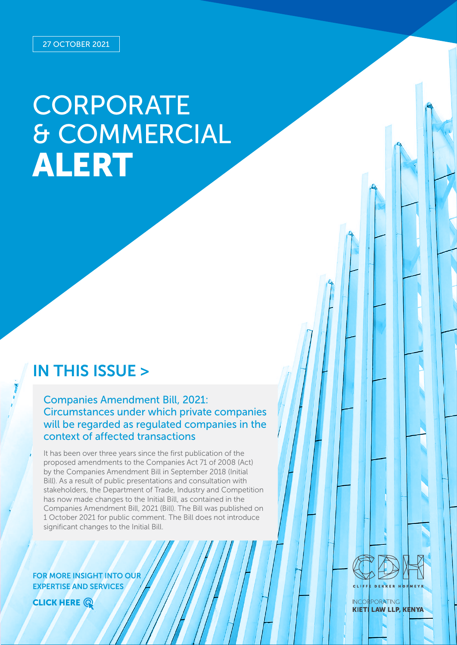# **CORPORATE** & COMMERCIAL ALERT

# IN THIS ISSUE >

Companies Amendment Bill, 2021: Circumstances under which private companies will be regarded as regulated companies in the context of affected transactions

It has been over three years since the first publication of the proposed amendments to the Companies Act 71 of 2008 (Act) by the Companies Amendment Bill in September 2018 (Initial Bill). As a result of public presentations and consultation with stakeholders, the Department of Trade, Industry and Competition has now made changes to the Initial Bill, as contained in the Companies Amendment Bill, 2021 (Bill). The Bill was published on 1 October 2021 for public comment. The Bill does not introduce significant changes to the Initial Bill.

FOR MORE INSIGHT INTO OUR EXPERTISE AND SERVICES





**INCORPORATING KIETI LAW LLP, KENYA**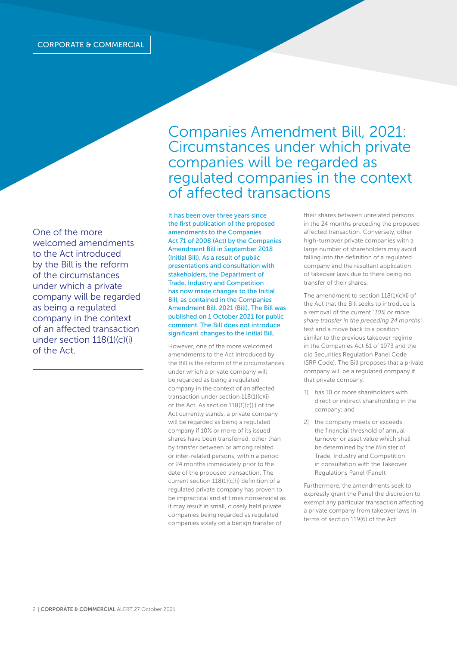One of the more welcomed amendments to the Act introduced by the Bill is the reform of the circumstances under which a private company will be regarded as being a regulated company in the context of an affected transaction under section 118(1)(c)(i) of the Act.

Companies Amendment Bill, 2021: Circumstances under which private companies will be regarded as regulated companies in the context of affected transactions

It has been over three years since the first publication of the proposed amendments to the Companies Act 71 of 2008 (Act) by the Companies Amendment Bill in September 2018 (Initial Bill). As a result of public presentations and consultation with stakeholders, the Department of Trade, Industry and Competition has now made changes to the Initial Bill, as contained in the Companies Amendment Bill, 2021 (Bill). The Bill was published on 1 October 2021 for public comment. The Bill does not introduce significant changes to the Initial Bill.

However, one of the more welcomed amendments to the Act introduced by the Bill is the reform of the circumstances under which a private company will be regarded as being a regulated company in the context of an affected transaction under section 118(1)(c)(i) of the Act. As section 118(1)(c)(i) of the Act currently stands, a private company will be regarded as being a regulated company if 10% or more of its issued shares have been transferred, other than by transfer between or among related or inter-related persons, within a period of 24 months immediately prior to the date of the proposed transaction. The current section 118(1)(c)(i) definition of a regulated private company has proven to be impractical and at times nonsensical as it may result in small, closely held private companies being regarded as regulated companies solely on a benign transfer of

their shares between unrelated persons in the 24 months preceding the proposed affected transaction. Conversely, other high-turnover private companies with a large number of shareholders may avoid falling into the definition of a regulated company and the resultant application of takeover laws due to there being no transfer of their shares.

The amendment to section 118(1)(c)(i) of the Act that the Bill seeks to introduce is a removal of the current "*10% or more share transfer in the preceding 24 months*" test and a move back to a position similar to the previous takeover regime in the Companies Act 61 of 1973 and the old Securities Regulation Panel Code (SRP Code). The Bill proposes that a private company will be a regulated company if that private company:

- 1) has 10 or more shareholders with direct or indirect shareholding in the company; and
- 2) the company meets or exceeds the financial threshold of annual turnover or asset value which shall be determined by the Minister of Trade, Industry and Competition in consultation with the Takeover Regulations Panel (Panel).

Furthermore, the amendments seek to expressly grant the Panel the discretion to exempt any particular transaction affecting a private company from takeover laws in terms of section 119(6) of the Act.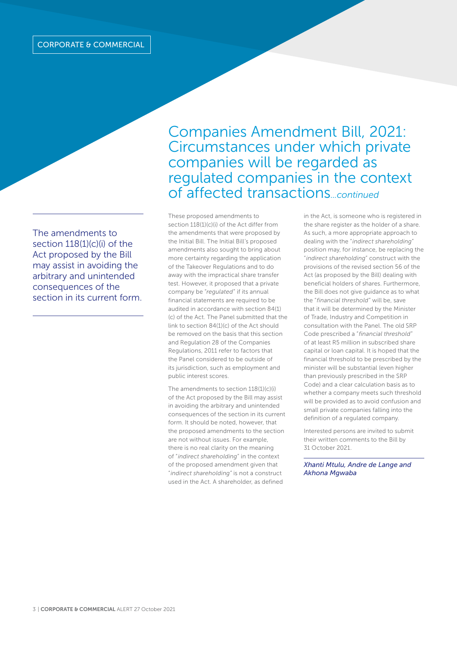The amendments to section 118(1)(c)(i) of the Act proposed by the Bill may assist in avoiding the arbitrary and unintended consequences of the section in its current form.

Companies Amendment Bill, 2021: Circumstances under which private companies will be regarded as regulated companies in the context of affected transactions*...continued* 

These proposed amendments to section 118(1)(c)(i) of the Act differ from the amendments that were proposed by the Initial Bill. The Initial Bill's proposed amendments also sought to bring about more certainty regarding the application of the Takeover Regulations and to do away with the impractical share transfer test. However, it proposed that a private company be "*regulated*" if its annual financial statements are required to be audited in accordance with section 84(1) (c) of the Act. The Panel submitted that the link to section 84(1)(c) of the Act should be removed on the basis that this section and Regulation 28 of the Companies Regulations, 2011 refer to factors that the Panel considered to be outside of its jurisdiction, such as employment and public interest scores.

The amendments to section 118(1)(c)(i) of the Act proposed by the Bill may assist in avoiding the arbitrary and unintended consequences of the section in its current form. It should be noted, however, that the proposed amendments to the section are not without issues. For example, there is no real clarity on the meaning of "*indirect shareholding*" in the context of the proposed amendment given that "*indirect shareholding"* is not a construct used in the Act. A shareholder, as defined

in the Act, is someone who is registered in the share register as the holder of a share. As such, a more appropriate approach to dealing with the "*indirect shareholding*" position may, for instance, be replacing the "*indirect shareholding*" construct with the provisions of the revised section 56 of the Act (as proposed by the Bill) dealing with beneficial holders of shares. Furthermore, the Bill does not give guidance as to what the "*financial threshold*" will be, save that it will be determined by the Minister of Trade, Industry and Competition in consultation with the Panel. The old SRP Code prescribed a "*financial threshold*" of at least R5 million in subscribed share capital or loan capital. It is hoped that the financial threshold to be prescribed by the minister will be substantial (even higher than previously prescribed in the SRP Code) and a clear calculation basis as to whether a company meets such threshold will be provided as to avoid confusion and small private companies falling into the definition of a regulated company.

Interested persons are invited to submit their written comments to the Bill by 31 October 2021.

*Xhanti Mtulu, Andre de Lange and Akhona Mgwaba*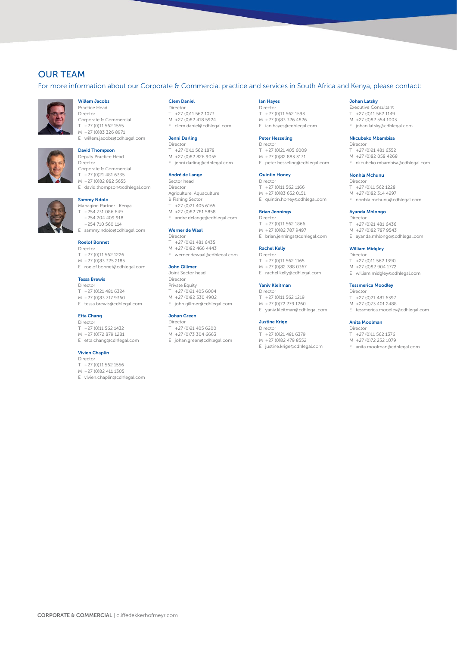# OUR TEAM

For more information about our Corporate & Commercial practice and services in South Africa and Kenya, please contact:



### Willem Jacobs

Practice Head Director Corporate & Commercial  $T + 27 (0)11562155$ M +27 (0)83 326 8971



## E willem.jacobs@cdhlegal.com

David Thompson Deputy Practice Head Director Corporate & Commercial T +27 (0)21 481 6335 M +27 (0)82 882 5655

E david.thompson@cdhlegal.com

#### Sammy Ndolo

Managing Partner | Kenya T +254 731 086 649 +254 204 409 918 +254 710 560 114 sammy.ndolo@cdhlegal.com

#### Roelof Bonnet

- Director T +27 (0)11 562 1226 M +27 (0)83 325 2185
- E roelof.bonnet@cdhlegal.com

#### Tessa Brewis

Director T +27 (0)21 481 6324 M +27 (0)83 717 9360 E tessa.brewis@cdhlegal.com

#### Etta Chang

- Director T +27 (0)11 562 1432
- M +27 (0)72 879 1281 E etta.chang@cdhlegal.com

#### Vivien Chaplin

- Director T +27 (0)11 562 1556
- M +27 (0)82 411 1305
- E vivien.chaplin@cdhlegal.com

#### Clem Daniel

- Director T +27 (0)11 562 1073
- M +27 (0)82 418 5924 E clem.daniel@cdhlegal.com

#### Jenni Darling

Director T +27 (0)11 562 1878 M +27 (0)82 826 9055 E jenni.darling@cdhlegal.com

#### André de Lange

Sector head Director Agriculture, Aquaculture & Fishing Sector  $T + 27(0)214056165$ M +27 (0)82 781 5858 E andre.delange@cdhlegal.com

#### Werner de Waal

- Director T +27 (0)21 481 6435 M +27 (0)82 466 4443
- E werner.dewaal@cdhlegal.com

#### John Gillmer

Joint Sector head Director Private Equity T +27 (0)21 405 6004 M +27 (0)82 330 4902 E john.gillmer@cdhlegal.com

#### Johan Green

Director  $T + 27(0)214056200$ M +27 (0)73 304 6663 E johan.green@cdhlegal.com

#### Ian Hayes

Director T +27 (0)11 562 1593 M +27 (0)83 326 4826 E ian.hayes@cdhlegal.com

#### Peter Hesseling

**Director** T +27 (0)21 405 6009 M +27 (0)82 883 3131 E peter.hesseling@cdhlegal.com

#### Quintin Honey

**Director** T +27 (0)11 562 1166 M +27 (0)83 652 0151 E quintin.honey@cdhlegal.com

#### Brian Jennings

Director  $T +27(0)115621866$ M +27 (0)82 787 9497 E brian.jennings@cdhlegal.com

#### Rachel Kelly

Director  $T +27(0)115621165$ M +27 (0)82 788 0367 E rachel.kelly@cdhlegal.com

#### Yaniv Kleitman

Director  $T + 27 (0)11 562 1219$ M +27 (0)72 279 1260 E yaniv.kleitman@cdhlegal.com

#### Justine Krige

Director T +27 (0)21 481 6379 M +27 (0)82 479 8552

E justine.krige@cdhlegal.com

#### Johan Latsky

Executive Consultant T +27 (0)11 562 1149 M +27 (0)82 554 1003 E johan.latsky@cdhlegal.com

#### Nkcubeko Mbambisa

Director T +27 (0)21 481 6352 M +27 (0)82 058 4268 E nkcubeko.mbambisa@cdhlegal.com

#### Nonhla Mchunu

Director T +27 (0)11 562 1228 M +27 (0)82 314 4297 E nonhla.mchunu@cdhlegal.com

#### Ayanda Mhlongo

Director T +27 (0)21 481 6436 M +27 (0)82 787 9543

E ayanda.mhlongo@cdhlegal.com

#### William Midgley Director

 $T +27(0)115621390$ M +27 (0)82 904 1772 E william.midgley@cdhlegal.com

#### Tessmerica Moodley

Director T +27 (0)21 481 6397 M +27 (0)73 401 2488

E tessmerica.moodley@cdhlegal.com

#### Anita Moolman

Director T +27 (0)11 562 1376

M +27 (0)72 252 1079

E anita.moolman@cdhlegal.com